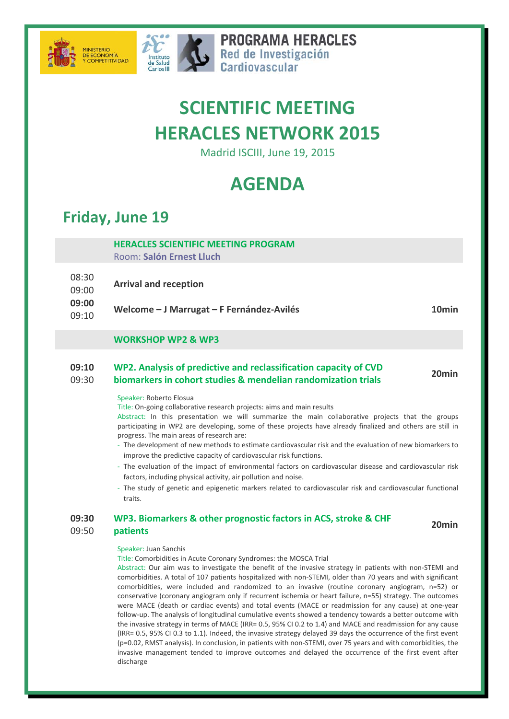



**PROGRAMA HERACLES** Red de Investigación Cardiovascular

# **SCIENTIFIC MEETING HERACLES NETWORK 2015**

Madrid ISCIII, June 19, 2015

## **AGENDA**

### **Friday, June 19**

#### **HERACLES SCIENTIFIC MEETING PROGRAM** Room: **Salón Ernest Lluch**

08:30 09:00 **Arrival and reception**

**09:00**

09:10 **Welcome – <sup>J</sup> Marrugat – <sup>F</sup> Fernández‐Avilés 10min**

### **WORKSHOP WP2 & WP3**

#### **09:10** 09:30 **WP2. Analysis of predictive and reclassification capacity of CVD biomarkers in cohort studies & mendelian randomization trials 20min**

Speaker: Roberto Elosua

Title: On‐going collaborative research projects: aims and main results

Abstract: In this presentation we will summarize the main collaborative projects that the groups participating in WP2 are developing, some of these projects have already finalized and others are still in progress. The main areas of research are:

- ‐ The development of new methods to estimate cardiovascular risk and the evaluation of new biomarkers to improve the predictive capacity of cardiovascular risk functions.
- ‐ The evaluation of the impact of environmental factors on cardiovascular disease and cardiovascular risk factors, including physical activity, air pollution and noise.
- ‐ The study of genetic and epigenetic markers related to cardiovascular risk and cardiovascular functional traits.

#### **09:30** 09:50 **WP3. Biomarkers & other prognostic factors in ACS, stroke & CHF patients 20min**

#### Speaker: Juan Sanchis

Title: Comorbidities in Acute Coronary Syndromes: the MOSCA Trial

Abstract: Our aim was to investigate the benefit of the invasive strategy in patients with non‐STEMI and comorbidities. A total of 107 patients hospitalized with non‐STEMI, older than 70 years and with significant comorbidities, were included and randomized to an invasive (routine coronary angiogram, n=52) or conservative (coronary angiogram only if recurrent ischemia or heart failure, n=55) strategy. The outcomes were MACE (death or cardiac events) and total events (MACE or readmission for any cause) at one‐year follow‐up. The analysis of longitudinal cumulative events showed a tendency towards a better outcome with the invasive strategy in terms of MACE (IRR= 0.5, 95% CI 0.2 to 1.4) and MACE and readmission for any cause (IRR= 0.5, 95% CI 0.3 to 1.1). Indeed, the invasive strategy delayed 39 days the occurrence of the first event (p=0.02, RMST analysis). In conclusion, in patients with non‐STEMI, over 75 years and with comorbidities, the invasive management tended to improve outcomes and delayed the occurrence of the first event after discharge